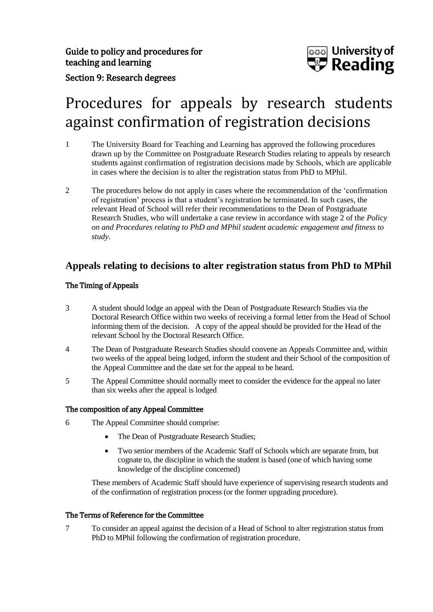

## Section 9: Research degrees

# Procedures for appeals by research students against confirmation of registration decisions

- 1 The University Board for Teaching and Learning has approved the following procedures drawn up by the Committee on Postgraduate Research Studies relating to appeals by research students against confirmation of registration decisions made by Schools, which are applicable in cases where the decision is to alter the registration status from PhD to MPhil.
- 2 The procedures below do not apply in cases where the recommendation of the 'confirmation of registration' process is that a student's registration be terminated. In such cases, the relevant Head of School will refer their recommendations to the Dean of Postgraduate Research Studies, who will undertake a case review in accordance with stage 2 of the *Policy on and Procedures relating to PhD and MPhil student academic engagement and fitness to study*.

### **Appeals relating to decisions to alter registration status from PhD to MPhil**

#### The Timing of Appeals

- 3 A student should lodge an appeal with the Dean of Postgraduate Research Studies via the Doctoral Research Office within two weeks of receiving a formal letter from the Head of School informing them of the decision. A copy of the appeal should be provided for the Head of the relevant School by the Doctoral Research Office.
- 4 The Dean of Postgraduate Research Studies should convene an Appeals Committee and, within two weeks of the appeal being lodged, inform the student and their School of the composition of the Appeal Committee and the date set for the appeal to be heard.
- 5 The Appeal Committee should normally meet to consider the evidence for the appeal no later than six weeks after the appeal is lodged

#### The composition of any Appeal Committee

- 6 The Appeal Committee should comprise:
	- The Dean of Postgraduate Research Studies;
	- Two senior members of the Academic Staff of Schools which are separate from, but cognate to, the discipline in which the student is based (one of which having some knowledge of the discipline concerned)

These members of Academic Staff should have experience of supervising research students and of the confirmation of registration process (or the former upgrading procedure).

#### The Terms of Reference for the Committee

7 To consider an appeal against the decision of a Head of School to alter registration status from PhD to MPhil following the confirmation of registration procedure.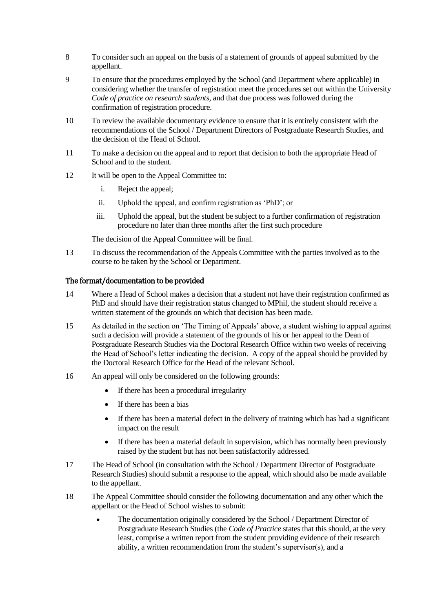- 8 To consider such an appeal on the basis of a statement of grounds of appeal submitted by the appellant.
- 9 To ensure that the procedures employed by the School (and Department where applicable) in considering whether the transfer of registration meet the procedures set out within the University *Code of practice on research students,* and that due process was followed during the confirmation of registration procedure.
- 10 To review the available documentary evidence to ensure that it is entirely consistent with the recommendations of the School / Department Directors of Postgraduate Research Studies, and the decision of the Head of School.
- 11 To make a decision on the appeal and to report that decision to both the appropriate Head of School and to the student.
- 12 It will be open to the Appeal Committee to:
	- i. Reject the appeal;
	- ii. Uphold the appeal, and confirm registration as 'PhD'; or
	- iii. Uphold the appeal, but the student be subject to a further confirmation of registration procedure no later than three months after the first such procedure

The decision of the Appeal Committee will be final.

13 To discuss the recommendation of the Appeals Committee with the parties involved as to the course to be taken by the School or Department.

#### The format/documentation to be provided

- 14 Where a Head of School makes a decision that a student not have their registration confirmed as PhD and should have their registration status changed to MPhil, the student should receive a written statement of the grounds on which that decision has been made.
- 15 As detailed in the section on 'The Timing of Appeals' above, a student wishing to appeal against such a decision will provide a statement of the grounds of his or her appeal to the Dean of Postgraduate Research Studies via the Doctoral Research Office within two weeks of receiving the Head of School's letter indicating the decision. A copy of the appeal should be provided by the Doctoral Research Office for the Head of the relevant School.
- 16 An appeal will only be considered on the following grounds:
	- If there has been a procedural irregularity
	- If there has been a bias
	- If there has been a material defect in the delivery of training which has had a significant impact on the result
	- If there has been a material default in supervision, which has normally been previously raised by the student but has not been satisfactorily addressed.
- 17 The Head of School (in consultation with the School / Department Director of Postgraduate Research Studies) should submit a response to the appeal, which should also be made available to the appellant.
- 18 The Appeal Committee should consider the following documentation and any other which the appellant or the Head of School wishes to submit:
	- The documentation originally considered by the School / Department Director of Postgraduate Research Studies (the *Code of Practice* states that this should, at the very least, comprise a written report from the student providing evidence of their research ability, a written recommendation from the student's supervisor(s), and a